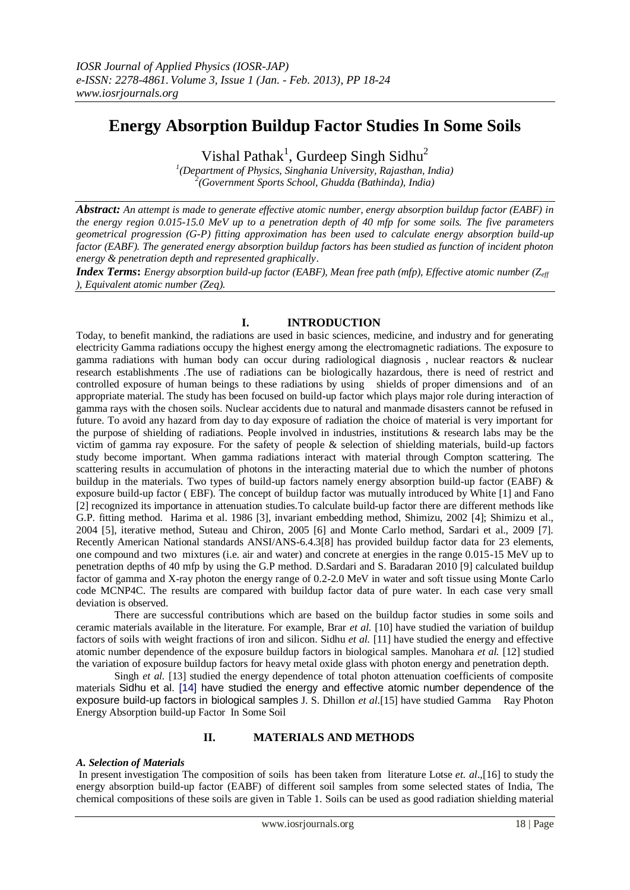# **Energy Absorption Buildup Factor Studies In Some Soils**

Vishal Pathak<sup>1</sup>, Gurdeep Singh Sidhu<sup>2</sup>

*1 (Department of Physics, Singhania University, Rajasthan, India) 2 (Government Sports School, Ghudda (Bathinda), India)*

*Abstract: An attempt is made to generate effective atomic number, energy absorption buildup factor (EABF) in the energy region 0.015-15.0 MeV up to a penetration depth of 40 mfp for some soils. The five parameters geometrical progression (G-P) fitting approximation has been used to calculate energy absorption build-up factor (EABF). The generated energy absorption buildup factors has been studied as function of incident photon energy & penetration depth and represented graphically*.

*Index Terms***:** *Energy absorption build-up factor (EABF), Mean free path (mfp), Effective atomic number (Zeff ), Equivalent atomic number (Zeq).*

# **I. INTRODUCTION**

Today, to benefit mankind, the radiations are used in basic sciences, medicine, and industry and for generating electricity Gamma radiations occupy the highest energy among the electromagnetic radiations. The exposure to gamma radiations with human body can occur during radiological diagnosis , nuclear reactors & nuclear research establishments .The use of radiations can be biologically hazardous, there is need of restrict and controlled exposure of human beings to these radiations by using shields of proper dimensions and of an appropriate material. The study has been focused on build-up factor which plays major role during interaction of gamma rays with the chosen soils. Nuclear accidents due to natural and manmade disasters cannot be refused in future. To avoid any hazard from day to day exposure of radiation the choice of material is very important for the purpose of shielding of radiations. People involved in industries, institutions & research labs may be the victim of gamma ray exposure. For the safety of people & selection of shielding materials, build-up factors study become important. When gamma radiations interact with material through Compton scattering. The scattering results in accumulation of photons in the interacting material due to which the number of photons buildup in the materials. Two types of build-up factors namely energy absorption build-up factor (EABF) & exposure build-up factor ( EBF). The concept of buildup factor was mutually introduced by White [1] and Fano [2] recognized its importance in attenuation studies.To calculate build-up factor there are different methods like G.P. fitting method. Harima et al. 1986 [3], invariant embedding method, Shimizu, 2002 [4]; Shimizu et al., 2004 [5], iterative method, Suteau and Chiron, 2005 [6] and Monte Carlo method, Sardari et al., 2009 [7]. Recently American National standards ANSI/ANS-6.4.3[8] has provided buildup factor data for 23 elements, one compound and two mixtures (i.e. air and water) and concrete at energies in the range 0.015-15 MeV up to penetration depths of 40 mfp by using the G.P method. D.Sardari and S. Baradaran 2010 [9] calculated buildup factor of gamma and X-ray photon the energy range of 0.2-2.0 MeV in water and soft tissue using Monte Carlo code MCNP4C. The results are compared with buildup factor data of pure water. In each case very small deviation is observed.

There are successful contributions which are based on the buildup factor studies in some soils and ceramic materials available in the literature. For example, Brar *et al.* [10] have studied the variation of buildup factors of soils with weight fractions of iron and silicon. Sidhu *et al.* [11] have studied the energy and effective atomic number dependence of the exposure buildup factors in biological samples. Manohara *et al.* [12] studied the variation of exposure buildup factors for heavy metal oxide glass with photon energy and penetration depth.

Singh *et al.* [13] studied the energy dependence of total photon attenuation coefficients of composite materials Sidhu et al. [14] have studied the energy and effective atomic number dependence of the exposure build-up factors in biological samples J. S. Dhillon *et al*.[15] have studied Gamma Ray Photon Energy Absorption build-up Factor In Some Soil

# **II. MATERIALS AND METHODS**

## *A. Selection of Materials*

In present investigation The composition of soils has been taken from literature Lotse *et. al*.,[16] to study the energy absorption build-up factor (EABF) of different soil samples from some selected states of India, The chemical compositions of these soils are given in Table 1. Soils can be used as good radiation shielding material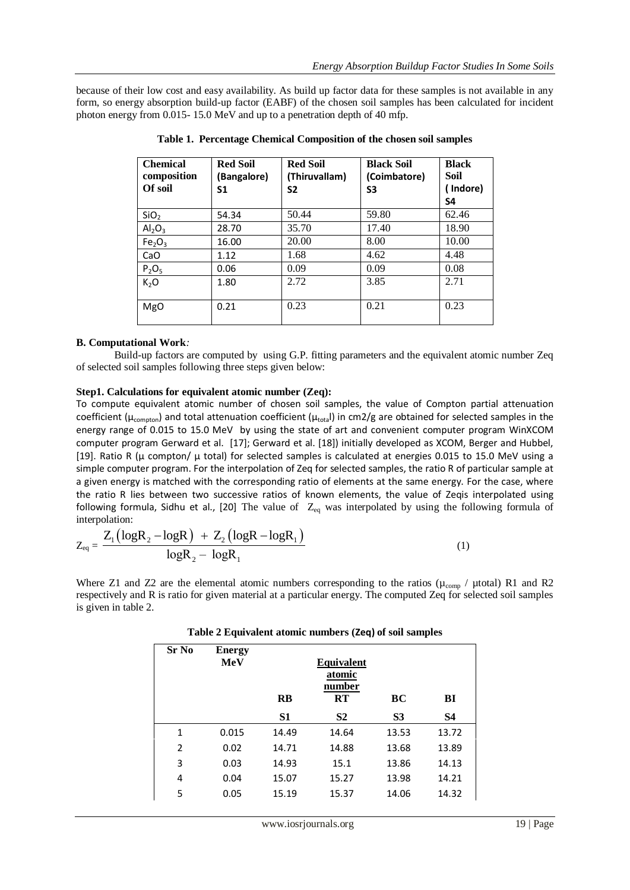because of their low cost and easy availability. As build up factor data for these samples is not available in any form, so energy absorption build-up factor (EABF) of the chosen soil samples has been calculated for incident photon energy from 0.015- 15.0 MeV and up to a penetration depth of 40 mfp.

| <b>Chemical</b><br>composition<br>Of soil | <b>Red Soil</b><br>(Bangalore)<br>S <sub>1</sub> | <b>Red Soil</b><br>(Thiruvallam)<br>S <sub>2</sub> | <b>Black Soil</b><br>(Coimbatore)<br>S3 | <b>Black</b><br>Soil<br>Indore)<br>S4 |
|-------------------------------------------|--------------------------------------------------|----------------------------------------------------|-----------------------------------------|---------------------------------------|
| SiO <sub>2</sub>                          | 54.34                                            | 50.44                                              | 59.80                                   | 62.46                                 |
| Al <sub>2</sub> O <sub>3</sub>            | 28.70                                            | 35.70                                              | 17.40                                   | 18.90                                 |
| Fe <sub>2</sub> O <sub>3</sub>            | 16.00                                            | 20.00                                              | 8.00                                    | 10.00                                 |
| CaO                                       | 1.12                                             | 1.68                                               | 4.62                                    | 4.48                                  |
| $P_2O_5$                                  | 0.06                                             | 0.09                                               | 0.09                                    | 0.08                                  |
| K <sub>2</sub> O                          | 1.80                                             | 2.72                                               | 3.85                                    | 2.71                                  |
| <b>MgO</b>                                | 0.21                                             | 0.23                                               | 0.21                                    | 0.23                                  |

**Table 1. Percentage Chemical Composition of the chosen soil samples**

# **B. Computational Work***:*

Build-up factors are computed by using G.P. fitting parameters and the equivalent atomic number Zeq of selected soil samples following three steps given below:

## **Step1. Calculations for equivalent atomic number (Zeq):**

To compute equivalent atomic number of chosen soil samples, the value of Compton partial attenuation coefficient ( $\mu_{\text{compton}}$ ) and total attenuation coefficient ( $\mu_{\text{total}}$ ) in cm2/g are obtained for selected samples in the energy range of 0.015 to 15.0 MeV by using the state of art and convenient computer program WinXCOM computer program Gerward et al. [17]; Gerward et al. [18]) initially developed as XCOM, Berger and Hubbel, [19]. Ratio R (μ compton/ μ total) for selected samples is calculated at energies 0.015 to 15.0 MeV using a simple computer program. For the interpolation of Zeq for selected samples, the ratio R of particular sample at a given energy is matched with the corresponding ratio of elements at the same energy. For the case, where the ratio R lies between two successive ratios of known elements, the value of Zeqis interpolated using following formula, Sidhu et al., [20] The value of  $Z_{eq}$  was interpolated by using the following formula of interpolation:

interpolation:  
\n
$$
Z_{eq} = \frac{Z_1 (\log R_2 - \log R) + Z_2 (\log R - \log R_1)}{\log R_2 - \log R_1}
$$
\n(1)

Where Z1 and Z2 are the elemental atomic numbers corresponding to the ratios ( $\mu_{comp}$  /  $\mu$ total) R1 and R2 respectively and R is ratio for given material at a particular energy. The computed Zeq for selected soil samples is given in table 2.

| <b>Sr No</b>   | <b>Energy</b><br><b>MeV</b> | Equivalent<br>atomic<br>number<br>BC<br>RT<br><b>RB</b><br>BI |                |                |           |
|----------------|-----------------------------|---------------------------------------------------------------|----------------|----------------|-----------|
|                |                             | S1                                                            | S <sub>2</sub> | S <sub>3</sub> | <b>S4</b> |
| $\mathbf{1}$   | 0.015                       | 14.49                                                         | 14.64          | 13.53          | 13.72     |
| $\mathfrak{p}$ | 0.02                        | 14.71                                                         | 14.88          | 13.68          | 13.89     |
| 3              | 0.03                        | 14.93                                                         | 15.1           | 13.86          | 14.13     |
| 4              | 0.04                        | 15.07                                                         | 15.27          | 13.98          | 14.21     |
| 5              | 0.05                        | 15.19                                                         | 15.37          | 14.06          | 14.32     |

**Table 2 Equivalent atomic numbers (Zeq) of soil samples**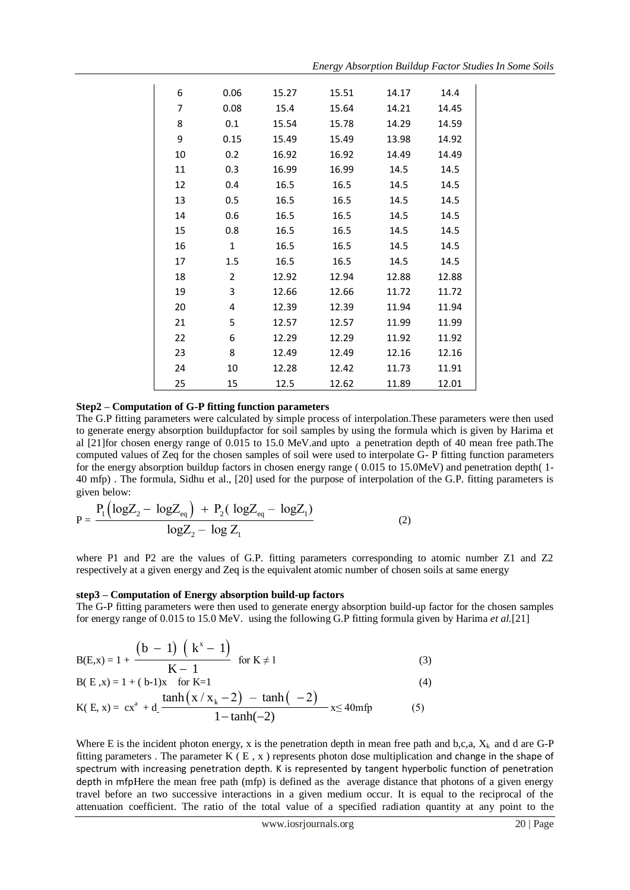| 6  | 0.06           | 15.27 | 15.51 | 14.17 | 14.4  |
|----|----------------|-------|-------|-------|-------|
| 7  | 0.08           | 15.4  | 15.64 | 14.21 | 14.45 |
| 8  | 0.1            | 15.54 | 15.78 | 14.29 | 14.59 |
| 9  | 0.15           | 15.49 | 15.49 | 13.98 | 14.92 |
| 10 | 0.2            | 16.92 | 16.92 | 14.49 | 14.49 |
| 11 | 0.3            | 16.99 | 16.99 | 14.5  | 14.5  |
| 12 | 0.4            | 16.5  | 16.5  | 14.5  | 14.5  |
| 13 | 0.5            | 16.5  | 16.5  | 14.5  | 14.5  |
| 14 | 0.6            | 16.5  | 16.5  | 14.5  | 14.5  |
| 15 | 0.8            | 16.5  | 16.5  | 14.5  | 14.5  |
| 16 | $\mathbf{1}$   | 16.5  | 16.5  | 14.5  | 14.5  |
| 17 | 1.5            | 16.5  | 16.5  | 14.5  | 14.5  |
| 18 | $\overline{2}$ | 12.92 | 12.94 | 12.88 | 12.88 |
| 19 | 3              | 12.66 | 12.66 | 11.72 | 11.72 |
| 20 | 4              | 12.39 | 12.39 | 11.94 | 11.94 |
| 21 | 5              | 12.57 | 12.57 | 11.99 | 11.99 |
| 22 | 6              | 12.29 | 12.29 | 11.92 | 11.92 |
| 23 | 8              | 12.49 | 12.49 | 12.16 | 12.16 |
| 24 | 10             | 12.28 | 12.42 | 11.73 | 11.91 |
| 25 | 15             | 12.5  | 12.62 | 11.89 | 12.01 |

## **Step2 – Computation of G-P fitting function parameters**

The G.P fitting parameters were calculated by simple process of interpolation.These parameters were then used to generate energy absorption buildupfactor for soil samples by using the formula which is given by Harima et al [21]for chosen energy range of 0.015 to 15.0 MeV.and upto a penetration depth of 40 mean free path.The computed values of Zeq for the chosen samples of soil were used to interpolate G- P fitting function parameters for the energy absorption buildup factors in chosen energy range ( 0.015 to 15.0MeV) and penetration depth( 1- 40 mfp) . The formula, Sidhu et al., [20] used for the purpose of interpolation of the G.P. fitting parameters is given below:

given below:  
\n
$$
P = \frac{P_1(\log Z_2 - \log Z_{eq}) + P_2(\log Z_{eq} - \log Z_1)}{\log Z_2 - \log Z_1}
$$
\n(2)

where P1 and P2 are the values of G.P. fitting parameters corresponding to atomic number Z1 and Z2 respectively at a given energy and Zeq is the equivalent atomic number of chosen soils at same energy

#### **step3 – Computation of Energy absorption build-up factors**

The G-P fitting parameters were then used to generate energy absorption build-up factor for the chosen samples for energy range of 0.015 to 15.0 MeV. using the following G.P fitting formula given by Harima *et al.*[21]

$$
B(E,x) = 1 + \frac{(b-1)(k^{x}-1)}{K-1} \quad \text{for } K \neq 1
$$
 (3)

B(E,x) = 1 + (b-1)x for K=1  
\nK(E, x) = 
$$
cx^a + d \frac{\tanh(x / x_k - 2) - \tanh(-2)}{1 - \tanh(-2)} x \le 40 \text{mfp}
$$
 (5)

Where E is the incident photon energy, x is the penetration depth in mean free path and b,c,a,  $X_k$  and d are G-P fitting parameters. The parameter  $K(E, x)$  represents photon dose multiplication and change in the shape of spectrum with increasing penetration depth. K is represented by tangent hyperbolic function of penetration depth in mfpHere the mean free path (mfp) is defined as the average distance that photons of a given energy travel before an two successive interactions in a given medium occur. It is equal to the reciprocal of the attenuation coefficient. The ratio of the total value of a specified radiation quantity at any point to the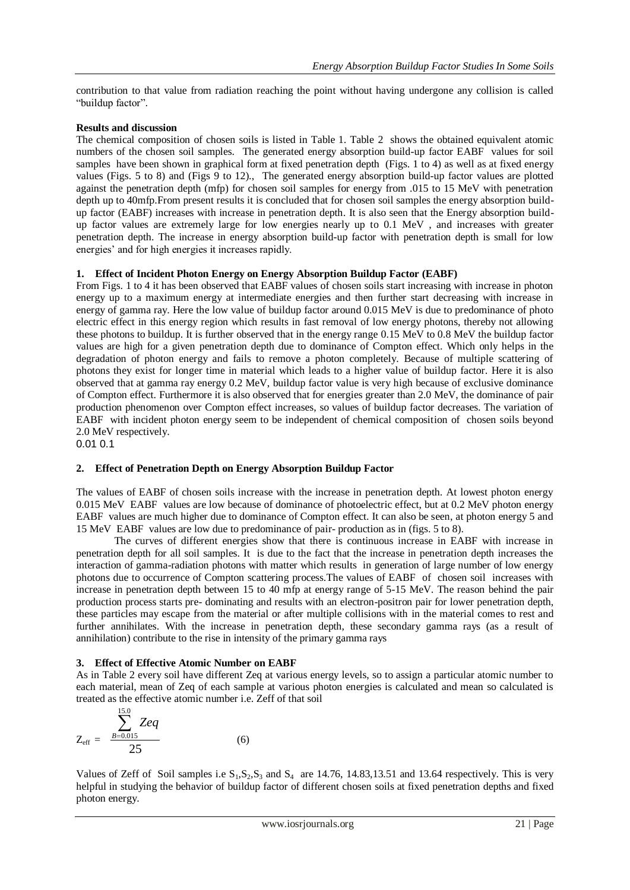contribution to that value from radiation reaching the point without having undergone any collision is called "buildup factor".

## **Results and discussion**

The chemical composition of chosen soils is listed in Table 1. Table 2 shows the obtained equivalent atomic numbers of the chosen soil samples. The generated energy absorption build-up factor EABF values for soil samples have been shown in graphical form at fixed penetration depth (Figs. 1 to 4) as well as at fixed energy values (Figs. 5 to 8) and (Figs 9 to 12)., The generated energy absorption build-up factor values are plotted against the penetration depth (mfp) for chosen soil samples for energy from .015 to 15 MeV with penetration depth up to 40mfp.From present results it is concluded that for chosen soil samples the energy absorption buildup factor (EABF) increases with increase in penetration depth. It is also seen that the Energy absorption buildup factor values are extremely large for low energies nearly up to 0.1 MeV , and increases with greater penetration depth. The increase in energy absorption build-up factor with penetration depth is small for low energies' and for high energies it increases rapidly.

## **1. Effect of Incident Photon Energy on Energy Absorption Buildup Factor (EABF)**

From Figs. 1 to 4 it has been observed that EABF values of chosen soils start increasing with increase in photon energy up to a maximum energy at intermediate energies and then further start decreasing with increase in energy of gamma ray. Here the low value of buildup factor around 0.015 MeV is due to predominance of photo electric effect in this energy region which results in fast removal of low energy photons, thereby not allowing these photons to buildup. It is further observed that in the energy range 0.15 MeV to 0.8 MeV the buildup factor values are high for a given penetration depth due to dominance of Compton effect. Which only helps in the degradation of photon energy and fails to remove a photon completely. Because of multiple scattering of photons they exist for longer time in material which leads to a higher value of buildup factor. Here it is also observed that at gamma ray energy 0.2 MeV, buildup factor value is very high because of exclusive dominance of Compton effect. Furthermore it is also observed that for energies greater than 2.0 MeV, the dominance of pair production phenomenon over Compton effect increases, so values of buildup factor decreases. The variation of EABF with incident photon energy seem to be independent of chemical composition of chosen soils beyond 2.0 MeV respectively.

0.01 0.1

## **2. Effect of Penetration Depth on Energy Absorption Buildup Factor**

The values of EABF of chosen soils increase with the increase in penetration depth. At lowest photon energy 0.015 MeV EABF values are low because of dominance of photoelectric effect, but at 0.2 MeV photon energy EABF values are much higher due to dominance of Compton effect. It can also be seen, at photon energy 5 and 15 MeV EABF values are low due to predominance of pair- production as in (figs. 5 to 8).

The curves of different energies show that there is continuous increase in EABF with increase in penetration depth for all soil samples. It is due to the fact that the increase in penetration depth increases the interaction of gamma-radiation photons with matter which results in generation of large number of low energy photons due to occurrence of Compton scattering process.The values of EABF of chosen soil increases with increase in penetration depth between 15 to 40 mfp at energy range of 5-15 MeV. The reason behind the pair production process starts pre- dominating and results with an electron-positron pair for lower penetration depth, these particles may escape from the material or after multiple collisions with in the material comes to rest and further annihilates. With the increase in penetration depth, these secondary gamma rays (as a result of annihilation) contribute to the rise in intensity of the primary gamma rays

#### **3. Effect of Effective Atomic Number on EABF**

As in Table 2 every soil have different Zeq at various energy levels, so to assign a particular atomic number to each material, mean of Zeq of each sample at various photon energies is calculated and mean so calculated is treated as the effective atomic number i.e. Zeff of that soil

$$
Z_{\text{eff}} = \frac{\sum_{B=0.015}^{15.0} Zeq}{25} \tag{6}
$$

Values of Zeff of Soil samples i.e  $S_1, S_2, S_3$  and  $S_4$  are 14.76, 14.83,13.51 and 13.64 respectively. This is very helpful in studying the behavior of buildup factor of different chosen soils at fixed penetration depths and fixed photon energy.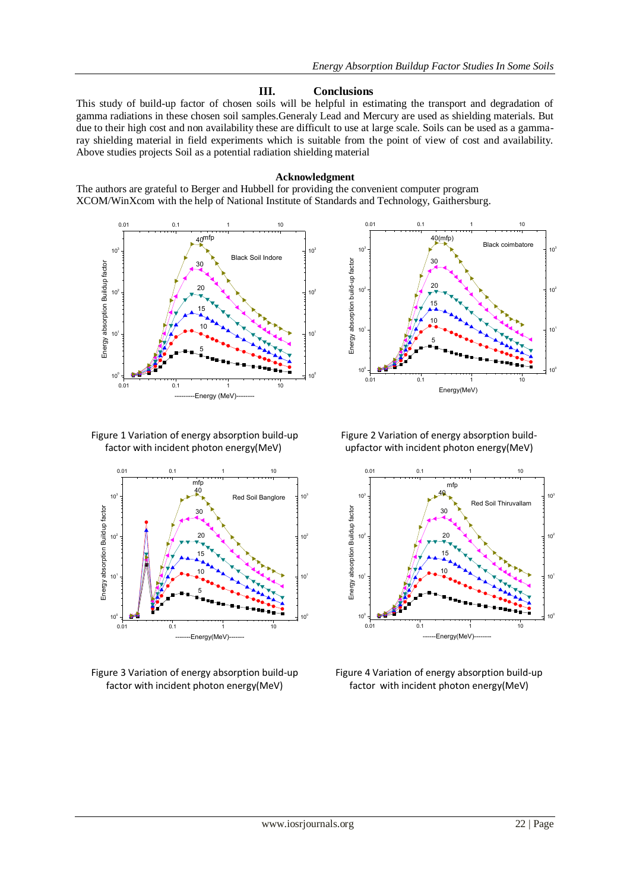# **III. Conclusions**

This study of build-up factor of chosen soils will be helpful in estimating the transport and degradation of gamma radiations in these chosen soil samples.Generaly Lead and Mercury are used as shielding materials. But due to their high cost and non availability these are difficult to use at large scale. Soils can be used as a gammaray shielding material in field experiments which is suitable from the point of view of cost and availability. Above studies projects Soil as a potential radiation shielding material

#### **Acknowledgment**

The authors are grateful to Berger and Hubbell for providing the convenient computer program XCOM/WinXcom with the help of National Institute of Standards and Technology, Gaithersburg.





Figure 1 Variation of energy absorption build-up factor with incident photon energy(MeV)



Figure 3 Variation of energy absorption build-up factor with incident photon energy(MeV)

Figure 2 Variation of energy absorption buildupfactor with incident photon energy(MeV)



Figure 4 Variation of energy absorption build-up factor with incident photon energy(MeV)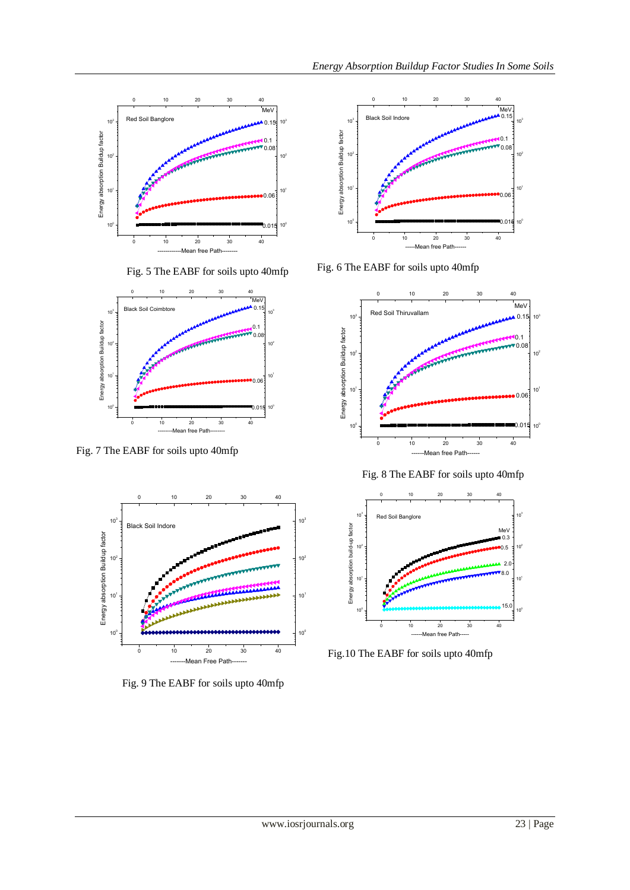

Fig. 5 The EABF for soils upto 40mfp





Fig. 9 The EABF for soils upto 40mfp



Fig. 6 The EABF for soils upto 40mfp



Fig. 8 The EABF for soils upto 40mfp



Fig.10 The EABF for soils upto 40mfp